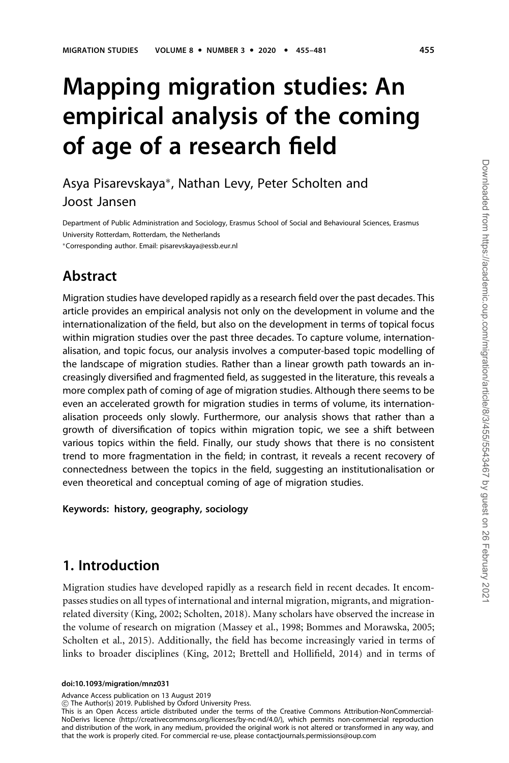# Mapping migration studies: An empirical analysis of the coming of age of a research field

# Asya Pisarevskaya\*, Nathan Levy, Peter Scholten and Joost Jansen

Department of Public Administration and Sociology, Erasmus School of Social and Behavioural Sciences, Erasmus University Rotterdam, Rotterdam, the Netherlands -Corresponding author. Email: pisarevskaya@essb.eur.nl

# Abstract

Migration studies have developed rapidly as a research field over the past decades. This article provides an empirical analysis not only on the development in volume and the internationalization of the field, but also on the development in terms of topical focus within migration studies over the past three decades. To capture volume, internationalisation, and topic focus, our analysis involves a computer-based topic modelling of the landscape of migration studies. Rather than a linear growth path towards an increasingly diversified and fragmented field, as suggested in the literature, this reveals a more complex path of coming of age of migration studies. Although there seems to be even an accelerated growth for migration studies in terms of volume, its internationalisation proceeds only slowly. Furthermore, our analysis shows that rather than a growth of diversification of topics within migration topic, we see a shift between various topics within the field. Finally, our study shows that there is no consistent trend to more fragmentation in the field; in contrast, it reveals a recent recovery of connectedness between the topics in the field, suggesting an institutionalisation or even theoretical and conceptual coming of age of migration studies.

Keywords: history, geography, sociology

# 1. Introduction

Migration studies have developed rapidly as a research field in recent decades. It encompasses studies on all types of international and internal migration, migrants, and migrationrelated diversity [\(King, 2002;](#page-25-0) [Scholten, 2018](#page-26-0)). Many scholars have observed the increase in the volume of research on migration [\(Massey et al., 1998;](#page-25-0) [Bommes and Morawska, 2005;](#page-24-0) [Scholten et al., 2015\)](#page-26-0). Additionally, the field has become increasingly varied in terms of links to broader disciplines [\(King, 2012;](#page-25-0) [Brettell and Hollifield, 2014\)](#page-24-0) and in terms of

doi:10.1093/migration/mnz031

Advance Access publication on 13 August 2019

<sup>!</sup> The Author(s) 2019. Published by Oxford University Press.

This is an Open Access article distributed under the terms of the Creative Commons Attribution-NonCommercial-NoDerivs licence [\(http://creativecommons.org/licenses/by-nc-nd/4.0/\)](XPath error Undefined namespace prefix), which permits non-commercial reproduction and distribution of the work, in any medium, provided the original work is not altered or transformed in any way, and that the work is properly cited. For commercial re-use, please contactjournals.permissions@oup.com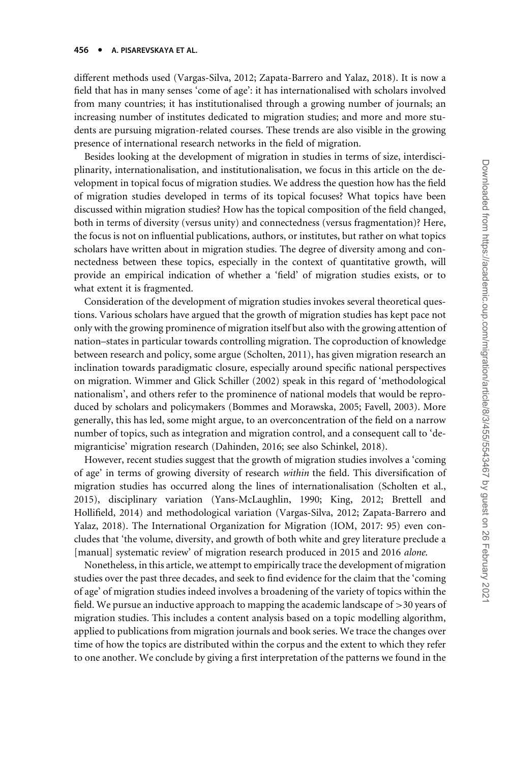#### 456 · A. PISAREVSKAYA ET AL.

different methods used [\(Vargas-Silva, 2012; Zapata-Barrero and Yalaz, 2018\)](#page-26-0). It is now a field that has in many senses 'come of age': it has internationalised with scholars involved from many countries; it has institutionalised through a growing number of journals; an increasing number of institutes dedicated to migration studies; and more and more students are pursuing migration-related courses. These trends are also visible in the growing presence of international research networks in the field of migration.

Besides looking at the development of migration in studies in terms of size, interdisciplinarity, internationalisation, and institutionalisation, we focus in this article on the development in topical focus of migration studies. We address the question how has the field of migration studies developed in terms of its topical focuses? What topics have been discussed within migration studies? How has the topical composition of the field changed, both in terms of diversity (versus unity) and connectedness (versus fragmentation)? Here, the focus is not on influential publications, authors, or institutes, but rather on what topics scholars have written about in migration studies. The degree of diversity among and connectedness between these topics, especially in the context of quantitative growth, will provide an empirical indication of whether a 'field' of migration studies exists, or to what extent it is fragmented.

Consideration of the development of migration studies invokes several theoretical questions. Various scholars have argued that the growth of migration studies has kept pace not only with the growing prominence of migration itself but also with the growing attention of nation–states in particular towards controlling migration. The coproduction of knowledge between research and policy, some argue ([Scholten, 2011](#page-26-0)), has given migration research an inclination towards paradigmatic closure, especially around specific national perspectives on migration. [Wimmer and Glick Schiller \(2002\)](#page-26-0) speak in this regard of 'methodological nationalism', and others refer to the prominence of national models that would be reproduced by scholars and policymakers [\(Bommes and Morawska, 2005](#page-24-0); [Favell, 2003\)](#page-24-0). More generally, this has led, some might argue, to an overconcentration of the field on a narrow number of topics, such as integration and migration control, and a consequent call to 'demigranticise' migration research [\(Dahinden, 2016;](#page-24-0) see also [Schinkel, 2018\)](#page-26-0).

However, recent studies suggest that the growth of migration studies involves a 'coming of age' in terms of growing diversity of research within the field. This diversification of migration studies has occurred along the lines of internationalisation [\(Scholten et al.,](#page-26-0) [2015\)](#page-26-0), disciplinary variation ([Yans-McLaughlin, 1990;](#page-26-0) [King, 2012](#page-25-0); [Brettell and](#page-24-0) [Hollifield, 2014](#page-24-0)) and methodological variation ([Vargas-Silva, 2012](#page-26-0); [Zapata-Barrero and](#page-26-0) [Yalaz, 2018](#page-26-0)). The International Organization for Migration [\(IOM, 2017:](#page-25-0) 95) even concludes that 'the volume, diversity, and growth of both white and grey literature preclude a [manual] systematic review' of migration research produced in 2015 and 2016 alone.

Nonetheless, in this article, we attempt to empirically trace the development of migration studies over the past three decades, and seek to find evidence for the claim that the 'coming of age' of migration studies indeed involves a broadening of the variety of topics within the field. We pursue an inductive approach to mapping the academic landscape of >30 years of migration studies. This includes a content analysis based on a topic modelling algorithm, applied to publications from migration journals and book series. We trace the changes over time of how the topics are distributed within the corpus and the extent to which they refer to one another. We conclude by giving a first interpretation of the patterns we found in the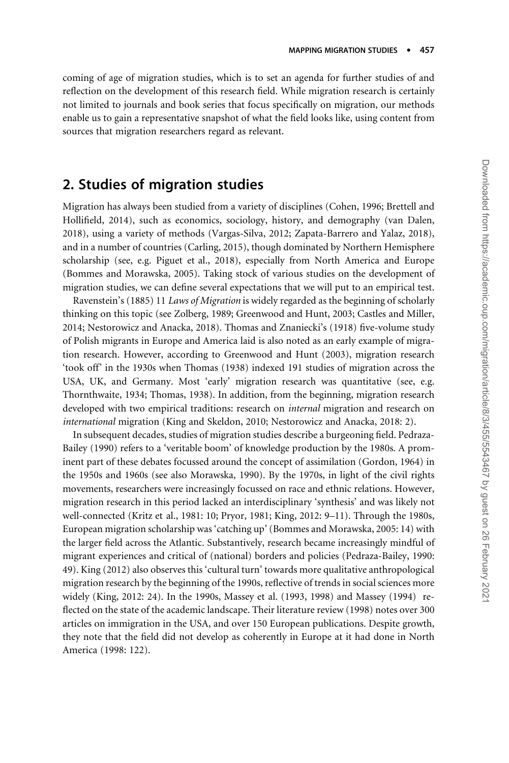coming of age of migration studies, which is to set an agenda for further studies of and reflection on the development of this research field. While migration research is certainly not limited to journals and book series that focus specifically on migration, our methods enable us to gain a representative snapshot of what the field looks like, using content from sources that migration researchers regard as relevant.

### 2. Studies of migration studies

Migration has always been studied from a variety of disciplines [\(Cohen, 1996; Brettell and](#page-24-0) [Hollifield, 2014\)](#page-24-0), such as economics, sociology, history, and demography ([van Dalen,](#page-26-0) [2018\)](#page-26-0), using a variety of methods [\(Vargas-Silva, 2012](#page-26-0); [Zapata-Barrero and Yalaz, 2018](#page-26-0)), and in a number of countries [\(Carling, 2015](#page-24-0)), though dominated by Northern Hemisphere scholarship (see, e.g. [Piguet et al., 2018\)](#page-26-0), especially from North America and Europe ([Bommes and Morawska, 2005](#page-24-0)). Taking stock of various studies on the development of migration studies, we can define several expectations that we will put to an empirical test.

[Ravenstein's \(1885\)](#page-26-0) 11 Laws of Migration is widely regarded as the beginning of scholarly thinking on this topic (see [Zolberg, 1989;](#page-26-0) [Greenwood and Hunt, 2003](#page-25-0); [Castles and Miller,](#page-24-0) [2014;](#page-24-0) [Nestorowicz and Anacka, 2018\)](#page-25-0). Thomas and Znaniecki's (1918) five-volume study of Polish migrants in Europe and America laid is also noted as an early example of migration research. However, according to [Greenwood and Hunt \(2003](#page-25-0)), migration research 'took off' in the 1930s when [Thomas \(1938\)](#page-26-0) indexed 191 studies of migration across the USA, UK, and Germany. Most 'early' migration research was quantitative (see, e.g. [Thornthwaite, 1934; Thomas, 1938\)](#page-26-0). In addition, from the beginning, migration research developed with two empirical traditions: research on *internal* migration and research on international migration [\(King and Skeldon, 2010](#page-25-0); [Nestorowicz and Anacka, 2018:](#page-25-0) 2).

In subsequent decades, studies of migration studies describe a burgeoning field. [Pedraza-](#page-25-0)[Bailey \(1990\)](#page-25-0) refers to a 'veritable boom' of knowledge production by the 1980s. A prominent part of these debates focussed around the concept of assimilation ([Gordon, 1964\)](#page-25-0) in the 1950s and 1960s (see also [Morawska, 1990](#page-25-0)). By the 1970s, in light of the civil rights movements, researchers were increasingly focussed on race and ethnic relations. However, migration research in this period lacked an interdisciplinary 'synthesis' and was likely not well-connected ([Kritz et al., 1981:](#page-25-0) 10; [Pryor, 1981](#page-26-0); [King, 2012:](#page-25-0) 9–11). Through the 1980s, European migration scholarship was 'catching up' [\(Bommes and Morawska, 2005](#page-24-0): 14) with the larger field across the Atlantic. Substantively, research became increasingly mindful of migrant experiences and critical of (national) borders and policies ([Pedraza-Bailey, 1990:](#page-25-0) 49). [King \(2012\)](#page-25-0) also observes this 'cultural turn' towards more qualitative anthropological migration research by the beginning of the 1990s, reflective of trends in social sciences more widely ([King, 2012](#page-25-0): 24). In the 1990s, [Massey et al. \(1993, 1998\)](#page-25-0) and [Massey \(1994\)](#page-25-0) reflected on the state of the academic landscape. Their literature review (1998) notes over 300 articles on immigration in the USA, and over 150 European publications. Despite growth, they note that the field did not develop as coherently in Europe at it had done in North America (1998: 122).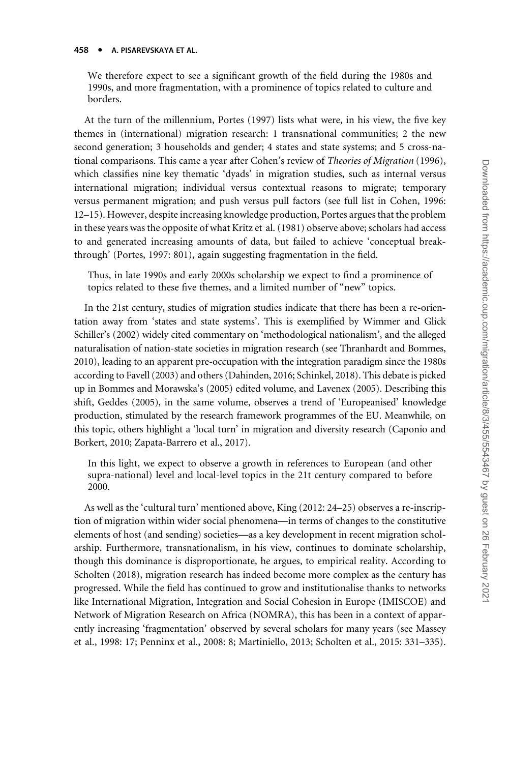#### 458 · A. PISAREVSKAYA ET AL.

We therefore expect to see a significant growth of the field during the 1980s and 1990s, and more fragmentation, with a prominence of topics related to culture and borders.

At the turn of the millennium, [Portes \(1997\)](#page-26-0) lists what were, in his view, the five key themes in (international) migration research: 1 transnational communities; 2 the new second generation; 3 households and gender; 4 states and state systems; and 5 cross-national comparisons. This came a year after Cohen's review of Theories of Migration (1996), which classifies nine key thematic 'dyads' in migration studies, such as internal versus international migration; individual versus contextual reasons to migrate; temporary versus permanent migration; and push versus pull factors (see full list in [Cohen, 1996:](#page-24-0) 12–15). However, despite increasing knowledge production, Portes argues that the problem in these years was the opposite of what [Kritz et al. \(1981\)](#page-25-0) observe above; scholars had access to and generated increasing amounts of data, but failed to achieve 'conceptual breakthrough' ([Portes, 1997](#page-26-0): 801), again suggesting fragmentation in the field.

Thus, in late 1990s and early 2000s scholarship we expect to find a prominence of topics related to these five themes, and a limited number of "new" topics.

In the 21st century, studies of migration studies indicate that there has been a re-orientation away from 'states and state systems'. This is exemplified by [Wimmer and Glick](#page-26-0) [Schiller's \(2002\)](#page-26-0) widely cited commentary on 'methodological nationalism', and the alleged naturalisation of nation-state societies in migration research (see [Thranhardt and Bommes,](#page-26-0) [2010](#page-26-0)), leading to an apparent pre-occupation with the integration paradigm since the 1980s according to [Favell \(2003\)](#page-24-0) and others ([Dahinden, 2016](#page-24-0); [Schinkel, 2018](#page-26-0)). This debate is picked up in [Bommes and Morawska's \(2005\)](#page-24-0) edited volume, and [Lavenex \(2005\)](#page-25-0). Describing this shift, [Geddes \(2005\),](#page-25-0) in the same volume, observes a trend of 'Europeanised' knowledge production, stimulated by the research framework programmes of the EU. Meanwhile, on this topic, others highlight a 'local turn' in migration and diversity research [\(Caponio and](#page-24-0) [Borkert, 2010](#page-24-0); [Zapata-Barrero et al., 2017\).](#page-26-0)

In this light, we expect to observe a growth in references to European (and other supra-national) level and local-level topics in the 21t century compared to before 2000.

As well as the 'cultural turn' mentioned above, [King \(2012](#page-25-0): 24–25) observes a re-inscription of migration within wider social phenomena—in terms of changes to the constitutive elements of host (and sending) societies—as a key development in recent migration scholarship. Furthermore, transnationalism, in his view, continues to dominate scholarship, though this dominance is disproportionate, he argues, to empirical reality. According to [Scholten \(2018\),](#page-26-0) migration research has indeed become more complex as the century has progressed. While the field has continued to grow and institutionalise thanks to networks like International Migration, Integration and Social Cohesion in Europe (IMISCOE) and Network of Migration Research on Africa (NOMRA), this has been in a context of apparently increasing 'fragmentation' observed by several scholars for many years (see [Massey](#page-25-0) [et al., 1998:](#page-25-0) 17; [Penninx et al., 2008](#page-25-0): 8; [Martiniello, 2013;](#page-25-0) [Scholten et al., 2015](#page-26-0): 331–335).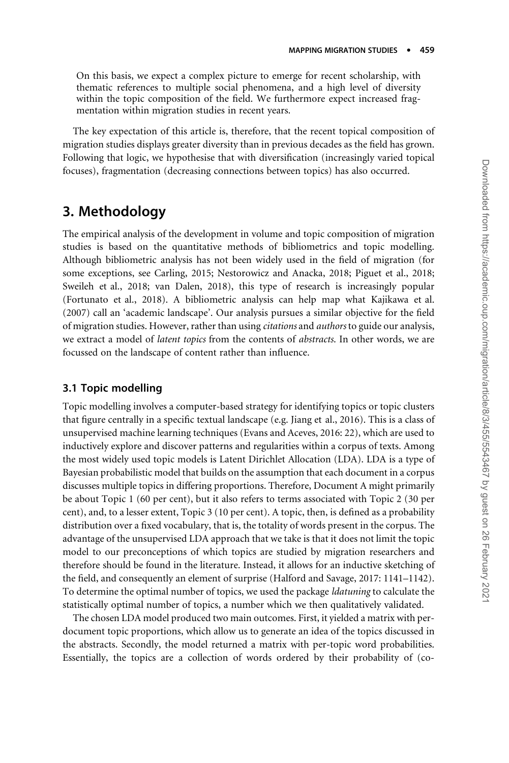On this basis, we expect a complex picture to emerge for recent scholarship, with thematic references to multiple social phenomena, and a high level of diversity within the topic composition of the field. We furthermore expect increased fragmentation within migration studies in recent years.

The key expectation of this article is, therefore, that the recent topical composition of migration studies displays greater diversity than in previous decades as the field has grown. Following that logic, we hypothesise that with diversification (increasingly varied topical focuses), fragmentation (decreasing connections between topics) has also occurred.

### 3. Methodology

The empirical analysis of the development in volume and topic composition of migration studies is based on the quantitative methods of bibliometrics and topic modelling. Although bibliometric analysis has not been widely used in the field of migration (for some exceptions, see [Carling, 2015;](#page-24-0) [Nestorowicz and Anacka, 2018](#page-25-0); [Piguet et al., 2018;](#page-26-0) [Sweileh et al., 2018](#page-26-0); [van Dalen, 2018\)](#page-26-0), this type of research is increasingly popular ([Fortunato et al., 2018\)](#page-24-0). A bibliometric analysis can help map what [Kajikawa et al.](#page-25-0) [\(2007\)](#page-25-0) call an 'academic landscape'. Our analysis pursues a similar objective for the field of migration studies. However, rather than using citations and authors to guide our analysis, we extract a model of *latent topics* from the contents of *abstracts*. In other words, we are focussed on the landscape of content rather than influence.

#### 3.1 Topic modelling

Topic modelling involves a computer-based strategy for identifying topics or topic clusters that figure centrally in a specific textual landscape (e.g. [Jiang et al., 2016\)](#page-25-0). This is a class of unsupervised machine learning techniques ([Evans and Aceves, 2016:](#page-24-0) 22), which are used to inductively explore and discover patterns and regularities within a corpus of texts. Among the most widely used topic models is Latent Dirichlet Allocation (LDA). LDA is a type of Bayesian probabilistic model that builds on the assumption that each document in a corpus discusses multiple topics in differing proportions. Therefore, Document A might primarily be about Topic 1 (60 per cent), but it also refers to terms associated with Topic 2 (30 per cent), and, to a lesser extent, Topic 3 (10 per cent). A topic, then, is defined as a probability distribution over a fixed vocabulary, that is, the totality of words present in the corpus. The advantage of the unsupervised LDA approach that we take is that it does not limit the topic model to our preconceptions of which topics are studied by migration researchers and therefore should be found in the literature. Instead, it allows for an inductive sketching of the field, and consequently an element of surprise ([Halford and Savage, 2017](#page-25-0): 1141–1142). To determine the optimal number of topics, we used the package ldatuning to calculate the statistically optimal number of topics, a number which we then qualitatively validated.

The chosen LDA model produced two main outcomes. First, it yielded a matrix with perdocument topic proportions, which allow us to generate an idea of the topics discussed in the abstracts. Secondly, the model returned a matrix with per-topic word probabilities. Essentially, the topics are a collection of words ordered by their probability of (co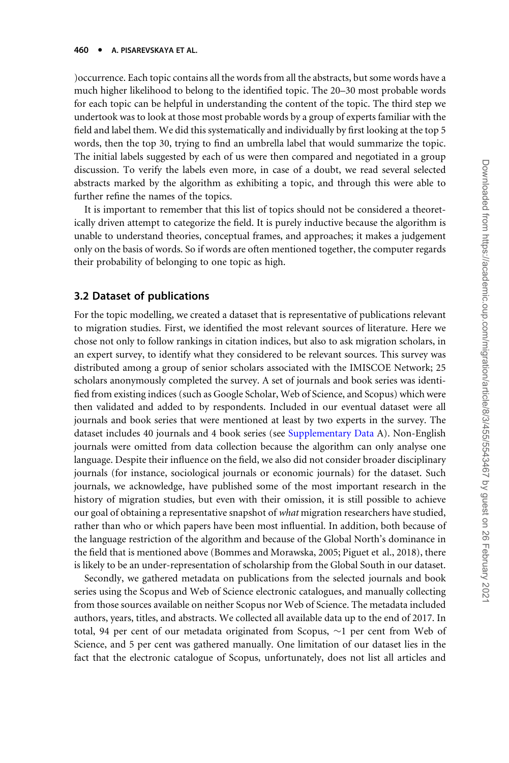)occurrence. Each topic contains all the words from all the abstracts, but some words have a much higher likelihood to belong to the identified topic. The 20–30 most probable words for each topic can be helpful in understanding the content of the topic. The third step we undertook was to look at those most probable words by a group of experts familiar with the field and label them. We did this systematically and individually by first looking at the top 5 words, then the top 30, trying to find an umbrella label that would summarize the topic. The initial labels suggested by each of us were then compared and negotiated in a group discussion. To verify the labels even more, in case of a doubt, we read several selected abstracts marked by the algorithm as exhibiting a topic, and through this were able to further refine the names of the topics.

It is important to remember that this list of topics should not be considered a theoretically driven attempt to categorize the field. It is purely inductive because the algorithm is unable to understand theories, conceptual frames, and approaches; it makes a judgement only on the basis of words. So if words are often mentioned together, the computer regards their probability of belonging to one topic as high.

#### 3.2 Dataset of publications

For the topic modelling, we created a dataset that is representative of publications relevant to migration studies. First, we identified the most relevant sources of literature. Here we chose not only to follow rankings in citation indices, but also to ask migration scholars, in an expert survey, to identify what they considered to be relevant sources. This survey was distributed among a group of senior scholars associated with the IMISCOE Network; 25 scholars anonymously completed the survey. A set of journals and book series was identified from existing indices (such as Google Scholar, Web of Science, and Scopus) which were then validated and added to by respondents. Included in our eventual dataset were all journals and book series that were mentioned at least by two experts in the survey. The dataset includes 40 journals and 4 book series (see [Supplementary Data](https://academic.oup.com/migration/article-lookup/doi/10.1093/migration/mnz031#supplementary-data) A). Non-English journals were omitted from data collection because the algorithm can only analyse one language. Despite their influence on the field, we also did not consider broader disciplinary journals (for instance, sociological journals or economic journals) for the dataset. Such journals, we acknowledge, have published some of the most important research in the history of migration studies, but even with their omission, it is still possible to achieve our goal of obtaining a representative snapshot of what migration researchers have studied, rather than who or which papers have been most influential. In addition, both because of the language restriction of the algorithm and because of the Global North's dominance in the field that is mentioned above [\(Bommes and Morawska, 2005](#page-24-0); [Piguet et al., 2018](#page-26-0)), there is likely to be an under-representation of scholarship from the Global South in our dataset.

Secondly, we gathered metadata on publications from the selected journals and book series using the Scopus and Web of Science electronic catalogues, and manually collecting from those sources available on neither Scopus nor Web of Science. The metadata included authors, years, titles, and abstracts. We collected all available data up to the end of 2017. In total, 94 per cent of our metadata originated from Scopus,  $\sim$ 1 per cent from Web of Science, and 5 per cent was gathered manually. One limitation of our dataset lies in the fact that the electronic catalogue of Scopus, unfortunately, does not list all articles and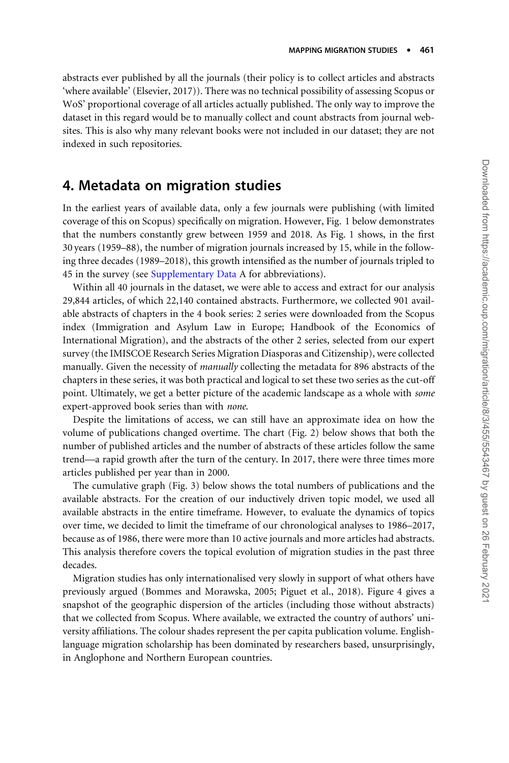abstracts ever published by all the journals (their policy is to collect articles and abstracts 'where available' ([Elsevier, 2017](#page-24-0))). There was no technical possibility of assessing Scopus or WoS' proportional coverage of all articles actually published. The only way to improve the dataset in this regard would be to manually collect and count abstracts from journal websites. This is also why many relevant books were not included in our dataset; they are not indexed in such repositories.

#### 4. Metadata on migration studies

In the earliest years of available data, only a few journals were publishing (with limited coverage of this on Scopus) specifically on migration. However, [Fig. 1](#page-7-0) below demonstrates that the numbers constantly grew between 1959 and 2018. As [Fig. 1](#page-7-0) shows, in the first 30 years (1959–88), the number of migration journals increased by 15, while in the following three decades (1989–2018), this growth intensified as the number of journals tripled to 45 in the survey (see [Supplementary Data](https://academic.oup.com/migration/article-lookup/doi/10.1093/migration/mnz031#supplementary-data) A for abbreviations).

Within all 40 journals in the dataset, we were able to access and extract for our analysis 29,844 articles, of which 22,140 contained abstracts. Furthermore, we collected 901 available abstracts of chapters in the 4 book series: 2 series were downloaded from the Scopus index (Immigration and Asylum Law in Europe; Handbook of the Economics of International Migration), and the abstracts of the other 2 series, selected from our expert survey (the IMISCOE Research Series Migration Diasporas and Citizenship), were collected manually. Given the necessity of *manually* collecting the metadata for 896 abstracts of the chapters in these series, it was both practical and logical to set these two series as the cut-off point. Ultimately, we get a better picture of the academic landscape as a whole with *some* expert-approved book series than with none.

Despite the limitations of access, we can still have an approximate idea on how the volume of publications changed overtime. The chart ([Fig. 2](#page-8-0)) below shows that both the number of published articles and the number of abstracts of these articles follow the same trend—a rapid growth after the turn of the century. In 2017, there were three times more articles published per year than in 2000.

The cumulative graph ([Fig. 3](#page-8-0)) below shows the total numbers of publications and the available abstracts. For the creation of our inductively driven topic model, we used all available abstracts in the entire timeframe. However, to evaluate the dynamics of topics over time, we decided to limit the timeframe of our chronological analyses to 1986–2017, because as of 1986, there were more than 10 active journals and more articles had abstracts. This analysis therefore covers the topical evolution of migration studies in the past three decades.

Migration studies has only internationalised very slowly in support of what others have previously argued [\(Bommes and Morawska, 2005](#page-24-0); [Piguet et al., 2018\)](#page-26-0). [Figure 4](#page-9-0) gives a snapshot of the geographic dispersion of the articles (including those without abstracts) that we collected from Scopus. Where available, we extracted the country of authors' university affiliations. The colour shades represent the per capita publication volume. Englishlanguage migration scholarship has been dominated by researchers based, unsurprisingly, in Anglophone and Northern European countries.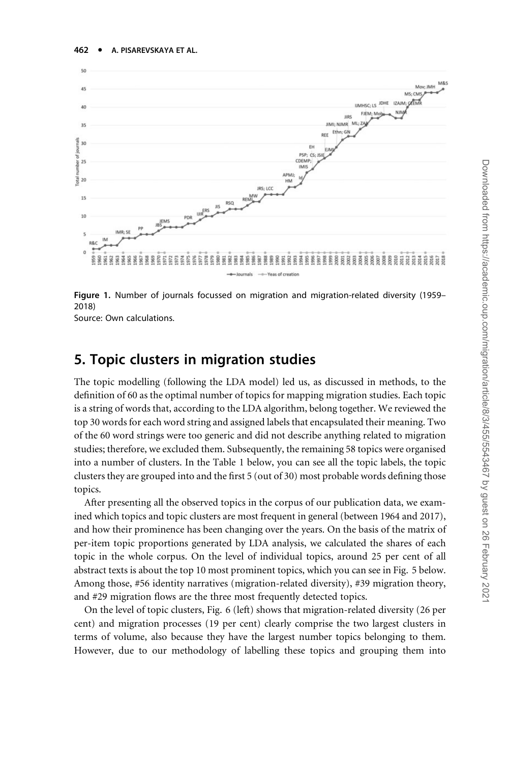#### 462 · A. PISAREVSKAYA ET AL.

<span id="page-7-0"></span>

Figure 1. Number of journals focussed on migration and migration-related diversity (1959– 2018) Source: Own calculations.

### 5. Topic clusters in migration studies

The topic modelling (following the LDA model) led us, as discussed in methods, to the definition of 60 as the optimal number of topics for mapping migration studies. Each topic is a string of words that, according to the LDA algorithm, belong together. We reviewed the top 30 words for each word string and assigned labels that encapsulated their meaning. Two of the 60 word strings were too generic and did not describe anything related to migration studies; therefore, we excluded them. Subsequently, the remaining 58 topics were organised into a number of clusters. In the [Table 1](#page-13-0) below, you can see all the topic labels, the topic clusters they are grouped into and the first 5 (out of 30) most probable words defining those topics.

After presenting all the observed topics in the corpus of our publication data, we examined which topics and topic clusters are most frequent in general (between 1964 and 2017), and how their prominence has been changing over the years. On the basis of the matrix of per-item topic proportions generated by LDA analysis, we calculated the shares of each topic in the whole corpus. On the level of individual topics, around 25 per cent of all abstract texts is about the top 10 most prominent topics, which you can see in [Fig. 5](#page-9-0) below. Among those, #56 identity narratives (migration-related diversity), #39 migration theory, and #29 migration flows are the three most frequently detected topics.

On the level of topic clusters, [Fig. 6](#page-10-0) (left) shows that migration-related diversity (26 per cent) and migration processes (19 per cent) clearly comprise the two largest clusters in terms of volume, also because they have the largest number topics belonging to them. However, due to our methodology of labelling these topics and grouping them into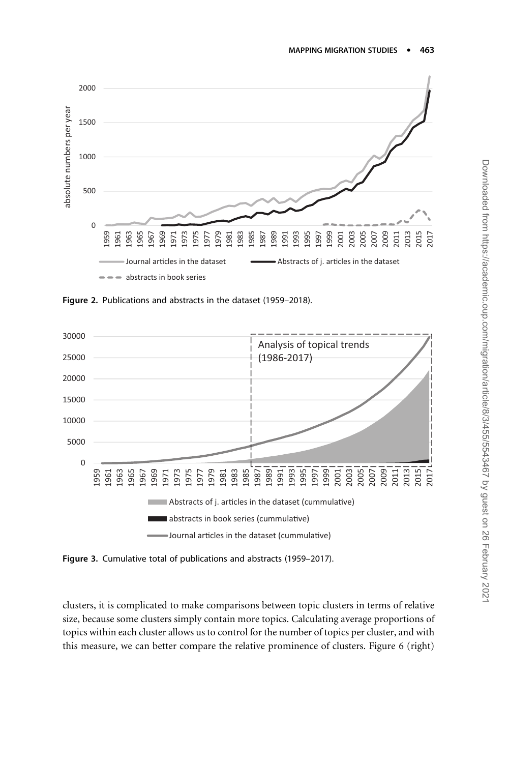<span id="page-8-0"></span>

Figure 2. Publications and abstracts in the dataset (1959–2018).



Figure 3. Cumulative total of publications and abstracts (1959–2017).

clusters, it is complicated to make comparisons between topic clusters in terms of relative size, because some clusters simply contain more topics. Calculating average proportions of topics within each cluster allows us to control for the number of topics per cluster, and with this measure, we can better compare the relative prominence of clusters. [Figure 6](#page-10-0) (right)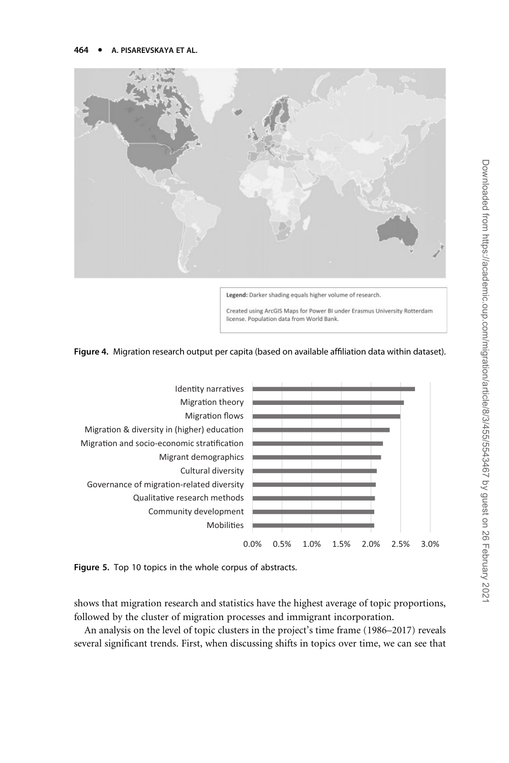<span id="page-9-0"></span>

Legend: Darker shading equals higher volume of research.

Created using ArcGIS Maps for Power BI under Erasmus University Rotterdam license. Population data from World Bank.





Figure 5. Top 10 topics in the whole corpus of abstracts.

shows that migration research and statistics have the highest average of topic proportions, followed by the cluster of migration processes and immigrant incorporation.

An analysis on the level of topic clusters in the project's time frame (1986–2017) reveals several significant trends. First, when discussing shifts in topics over time, we can see that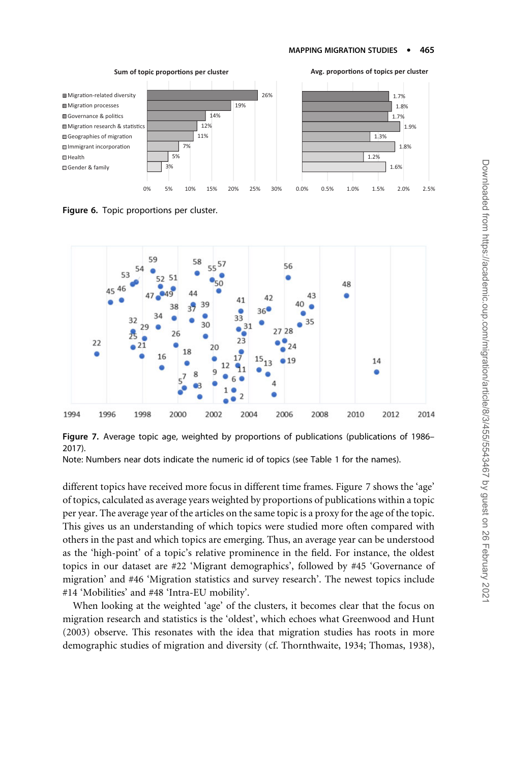<span id="page-10-0"></span>

Figure 6. Topic proportions per cluster.



Figure 7. Average topic age, weighted by proportions of publications (publications of 1986– 2017).

Note: Numbers near dots indicate the numeric id of topics (see [Table 1](#page-13-0) for the names).

different topics have received more focus in different time frames. Figure 7 shows the 'age' of topics, calculated as average years weighted by proportions of publications within a topic per year. The average year of the articles on the same topic is a proxy for the age of the topic. This gives us an understanding of which topics were studied more often compared with others in the past and which topics are emerging. Thus, an average year can be understood as the 'high-point' of a topic's relative prominence in the field. For instance, the oldest topics in our dataset are #22 'Migrant demographics', followed by #45 'Governance of migration' and #46 'Migration statistics and survey research'. The newest topics include #14 'Mobilities' and #48 'Intra-EU mobility'.

When looking at the weighted 'age' of the clusters, it becomes clear that the focus on migration research and statistics is the 'oldest', which echoes what [Greenwood and Hunt](#page-25-0) [\(2003\)](#page-25-0) observe. This resonates with the idea that migration studies has roots in more demographic studies of migration and diversity (cf. [Thornthwaite, 1934](#page-26-0); [Thomas, 1938](#page-26-0)),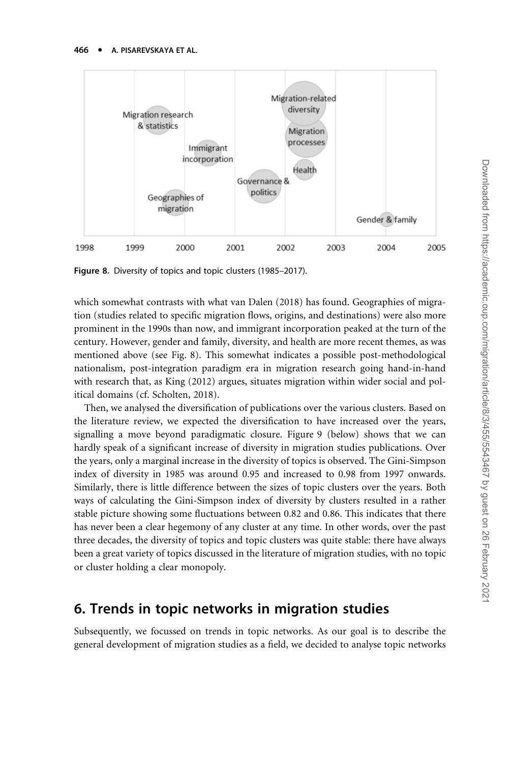

Figure 8. Diversity of topics and topic clusters (1985–2017).

which somewhat contrasts with what [van Dalen \(2018\)](#page-26-0) has found. Geographies of migration (studies related to specific migration flows, origins, and destinations) were also more prominent in the 1990s than now, and immigrant incorporation peaked at the turn of the century. However, gender and family, diversity, and health are more recent themes, as was mentioned above (see Fig. 8). This somewhat indicates a possible post-methodological nationalism, post-integration paradigm era in migration research going hand-in-hand with research that, as [King \(2012\)](#page-25-0) argues, situates migration within wider social and political domains (cf. [Scholten, 2018](#page-26-0)).

Then, we analysed the diversification of publications over the various clusters. Based on the literature review, we expected the diversification to have increased over the years, signalling a move beyond paradigmatic closure. [Figure 9](#page-12-0) (below) shows that we can hardly speak of a significant increase of diversity in migration studies publications. Over the years, only a marginal increase in the diversity of topics is observed. The Gini-Simpson index of diversity in 1985 was around 0.95 and increased to 0.98 from 1997 onwards. Similarly, there is little difference between the sizes of topic clusters over the years. Both ways of calculating the Gini-Simpson index of diversity by clusters resulted in a rather stable picture showing some fluctuations between 0.82 and 0.86. This indicates that there has never been a clear hegemony of any cluster at any time. In other words, over the past three decades, the diversity of topics and topic clusters was quite stable: there have always been a great variety of topics discussed in the literature of migration studies, with no topic or cluster holding a clear monopoly.

# 6. Trends in topic networks in migration studies

Subsequently, we focussed on trends in topic networks. As our goal is to describe the general development of migration studies as a field, we decided to analyse topic networks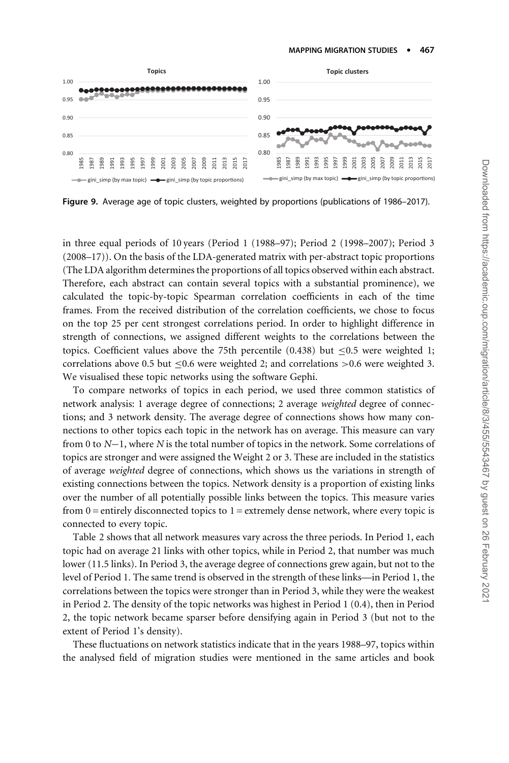#### MAPPING MIGRATION STUDIES . 467

<span id="page-12-0"></span>

Figure 9. Average age of topic clusters, weighted by proportions (publications of 1986–2017).

in three equal periods of 10 years (Period 1 (1988–97); Period 2 (1998–2007); Period 3 (2008–17)). On the basis of the LDA-generated matrix with per-abstract topic proportions (The LDA algorithm determines the proportions of all topics observed within each abstract. Therefore, each abstract can contain several topics with a substantial prominence), we calculated the topic-by-topic Spearman correlation coefficients in each of the time frames. From the received distribution of the correlation coefficients, we chose to focus on the top 25 per cent strongest correlations period. In order to highlight difference in strength of connections, we assigned different weights to the correlations between the topics. Coefficient values above the 75th percentile (0.438) but  $\leq$  0.5 were weighted 1; correlations above 0.5 but  $\leq 0.6$  were weighted 2; and correlations  $> 0.6$  were weighted 3. We visualised these topic networks using the software Gephi.

To compare networks of topics in each period, we used three common statistics of network analysis: 1 average degree of connections; 2 average weighted degree of connections; and 3 network density. The average degree of connections shows how many connections to other topics each topic in the network has on average. This measure can vary from 0 to  $N-1$ , where N is the total number of topics in the network. Some correlations of topics are stronger and were assigned the Weight 2 or 3. These are included in the statistics of average weighted degree of connections, which shows us the variations in strength of existing connections between the topics. Network density is a proportion of existing links over the number of all potentially possible links between the topics. This measure varies from  $0 =$  entirely disconnected topics to  $1 =$  extremely dense network, where every topic is connected to every topic.

[Table 2](#page-16-0) shows that all network measures vary across the three periods. In Period 1, each topic had on average 21 links with other topics, while in Period 2, that number was much lower (11.5 links). In Period 3, the average degree of connections grew again, but not to the level of Period 1. The same trend is observed in the strength of these links—in Period 1, the correlations between the topics were stronger than in Period 3, while they were the weakest in Period 2. The density of the topic networks was highest in Period 1 (0.4), then in Period 2, the topic network became sparser before densifying again in Period 3 (but not to the extent of Period 1's density).

These fluctuations on network statistics indicate that in the years 1988–97, topics within the analysed field of migration studies were mentioned in the same articles and book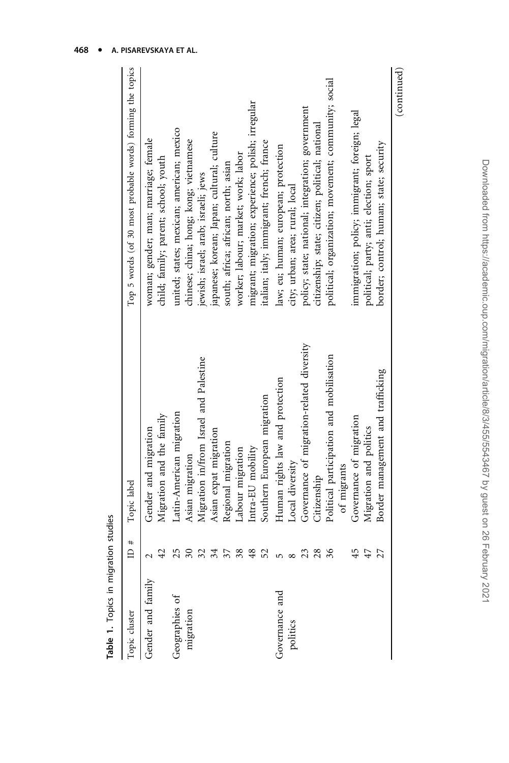<span id="page-13-0"></span>

| Topic cluster               | $\overline{D}$ # | Topic label                                                     | Top 5 words (of 30 most probable words) forming the topics                                           |
|-----------------------------|------------------|-----------------------------------------------------------------|------------------------------------------------------------------------------------------------------|
| Gender and family           |                  | Migration and the family<br>Gender and migration                | woman; gender; man; marriage; female<br>child; family; parent; school; youth                         |
| Geographies of<br>migration |                  | Latin-American migration<br>Asian migration                     | united; states; mexican; american; mexico<br>chinese; china; hong; kong; vietnamese                  |
|                             |                  | Migration in/from Israel and Palestine<br>Asian expat migration | japanese; korean; Japan; cultural; culture<br>jewish; israel; arab; israeli; jews                    |
|                             |                  | Regional migration<br>Labour migration                          | worker; labour; market; work; labor<br>south; africa; african; north; asian                          |
|                             |                  | Southern European migration<br>Intra-EU mobility                | migrant; migration; experience; polish; irregular<br>italian; italy; immigrant; french; france       |
| Governance and<br>politics  |                  | Human rights law and protection<br>Local diversity              | law; eu; human; european; protection<br>city; urban; area; rural; local                              |
|                             |                  | Governance of migration-related diversity<br><b>Litizenship</b> | policy; state; national; integration; government<br>citizenship; state; citizen; political; national |
|                             |                  | Political participation and mobilisation<br>of migrants         | political; organization; movement; community; social                                                 |
|                             |                  | Governance of migration<br>Migration and politics               | immigration; policy; immigrant; foreign; legal<br>political; party; anti; election; sport            |
|                             |                  | Border management and trafficking                               | border; control; human; state; security                                                              |
|                             |                  |                                                                 | (continued)                                                                                          |

Table 1. Topics in migration studies Table 1. Topics in migration studies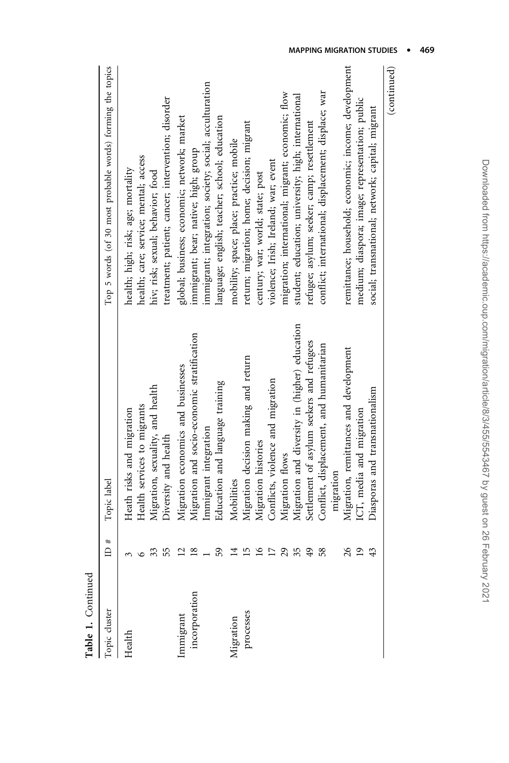| Topic cluster              | ID#                             | Topic label                                                                                                                                                                                                                                                                                                                                                                                      | Top 5 words (of 30 most probable words) forming the topics                                                                                                                                                                                                                                                                                                                                                                                                                                                                                           |
|----------------------------|---------------------------------|--------------------------------------------------------------------------------------------------------------------------------------------------------------------------------------------------------------------------------------------------------------------------------------------------------------------------------------------------------------------------------------------------|------------------------------------------------------------------------------------------------------------------------------------------------------------------------------------------------------------------------------------------------------------------------------------------------------------------------------------------------------------------------------------------------------------------------------------------------------------------------------------------------------------------------------------------------------|
| Health                     |                                 | Migration, sexuality, and health<br>Health services to migrants<br>Heath risks and migration<br>Diversity and health                                                                                                                                                                                                                                                                             | treatment; patient; cancer; intervention; disorder<br>health; care; service; mental; access<br>health; high; risk; age; mortality<br>hiv; risk; sexual; behavior; food                                                                                                                                                                                                                                                                                                                                                                               |
| incorporation<br>Immigrant |                                 | Migration and socio-economic stratification<br>Migration economics and businesses<br>Education and language training<br>Immigrant integration                                                                                                                                                                                                                                                    | immigrant; integration; society; social; acculturation<br>global; business; economic; network; market<br>language; english; teacher; school; education<br>immigrant; bear; native; high; group                                                                                                                                                                                                                                                                                                                                                       |
| processes<br>Migration     | $\frac{26}{5}$<br>58<br>۹<br>43 | Migration and diversity in (higher) education<br>Settlement of asylum seekers and refugees<br>Conflict, displacement, and humanitarian<br>Migration, remittances and development<br>Migration decision making and return<br>Conflicts, violence and migration<br>Diasporas and transnationalism<br>ICT, media and migration<br>Migration histories<br>Migration flows<br>migration<br>Mobilities | remittance; household; economic; income; development<br>conflict; international; displacement; displace; war<br>migration; international; migrant; economic; flow<br>student; education; university; high; international<br>medium; diaspora; image; representation; public<br>social; transnational; network; capital; migrant<br>refugee; asylum; seeker; camp; resettlement<br>return; migration; home; decision; migrant<br>mobility; space; place; practice; mobile<br>violence; Irish; Ireland; war; event<br>century; war; world; state; post |
|                            |                                 |                                                                                                                                                                                                                                                                                                                                                                                                  | (continued)                                                                                                                                                                                                                                                                                                                                                                                                                                                                                                                                          |

Table 1. Continued Table 1. Continued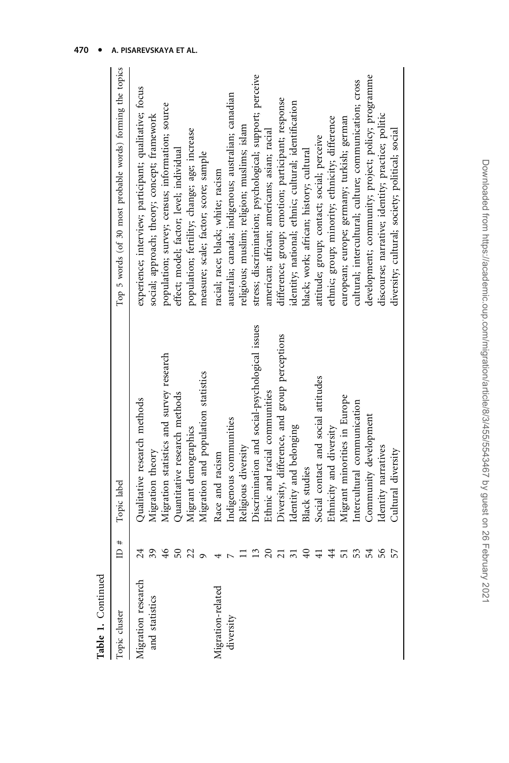| Topic cluster                        | $\overline{D}$ | Topic label                                                                                                                                                                                                                                                                                                                                                                                                                                           | Top 5 words (of 30 most probable words) forming the topics                                                                                                                                                                                                                                                                                                                                                                                                                                                                                                                                                                                                                                                                                                                        |
|--------------------------------------|----------------|-------------------------------------------------------------------------------------------------------------------------------------------------------------------------------------------------------------------------------------------------------------------------------------------------------------------------------------------------------------------------------------------------------------------------------------------------------|-----------------------------------------------------------------------------------------------------------------------------------------------------------------------------------------------------------------------------------------------------------------------------------------------------------------------------------------------------------------------------------------------------------------------------------------------------------------------------------------------------------------------------------------------------------------------------------------------------------------------------------------------------------------------------------------------------------------------------------------------------------------------------------|
| Migration research<br>and statistics | 24             | Migration statistics and survey research<br>Migration and population statistics<br>Quantitative research methods<br>Qualitative research methods<br>Migrant demographics<br>Migration theory                                                                                                                                                                                                                                                          | experience; interview; participant; qualitative; focus<br>population; survey; census; information; source<br>social; approach; theory; concept; framework<br>population; fertility; change; age; increase<br>effect; model; factor; level; individual<br>measure; scale; factor; score; sample                                                                                                                                                                                                                                                                                                                                                                                                                                                                                    |
| Migration-related<br>diversity       | 54             | Discrimination and social-psychological issues<br>Diversity, difference, and group perceptions<br>Social contact and social attitudes<br>Ethnic and racial communities<br>Migrant minorities in Europe<br>Intercultural communication<br>Community development<br>Indigenous communities<br>Identity and belonging<br>Ethnicity and diversity<br>Religious diversity<br>Identity narratives<br>Cultural diversity<br>Race and racism<br>Black studies | stress; discrimination; psychological; support; perceive<br>development; community; project; policy; programme<br>cultural; intercultural; culture; communication; cross<br>australia; canada; indigenous; australian; canadian<br>difference; group; emotion; participant; response<br>identity; national; ethnic; cultural; identification<br>discourse; narrative; identity; practice; politic<br>ethnic; group; minority; ethnicity; difference<br>european; europe; germany; turkish; german<br>religious; muslim; religion; muslims; islam<br>american; african; americans; asian; racial<br>diversity; cultural; society; political; social<br>attitude; group; contact; social; perceive<br>black; work; african; history; cultural<br>racial; race; black; white; racism |
|                                      |                |                                                                                                                                                                                                                                                                                                                                                                                                                                                       |                                                                                                                                                                                                                                                                                                                                                                                                                                                                                                                                                                                                                                                                                                                                                                                   |

Table 1. Continued Table 1. Continued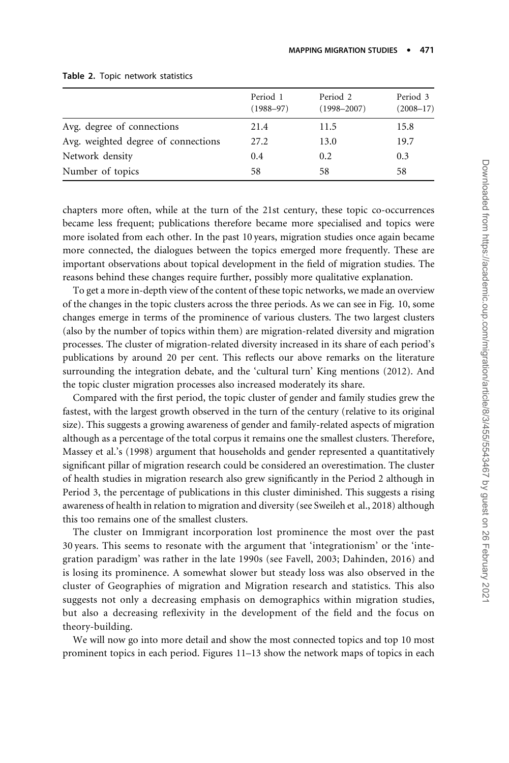|                                     | Period 1<br>$(1988 - 97)$ | Period 2<br>$(1998 - 2007)$ | Period 3<br>$(2008 - 17)$ |
|-------------------------------------|---------------------------|-----------------------------|---------------------------|
| Avg. degree of connections          | 21.4                      | 11.5                        | 15.8                      |
| Avg. weighted degree of connections | 27.2                      | 13.0                        | 19.7                      |
| Network density                     | 0.4                       | 0.2                         | 0.3                       |
| Number of topics                    | 58                        | 58                          | 58                        |

<span id="page-16-0"></span>Table 2. Topic network statistics

chapters more often, while at the turn of the 21st century, these topic co-occurrences became less frequent; publications therefore became more specialised and topics were more isolated from each other. In the past 10 years, migration studies once again became more connected, the dialogues between the topics emerged more frequently. These are important observations about topical development in the field of migration studies. The reasons behind these changes require further, possibly more qualitative explanation.

To get a more in-depth view of the content of these topic networks, we made an overview of the changes in the topic clusters across the three periods. As we can see in [Fig. 10,](#page-17-0) some changes emerge in terms of the prominence of various clusters. The two largest clusters (also by the number of topics within them) are migration-related diversity and migration processes. The cluster of migration-related diversity increased in its share of each period's publications by around 20 per cent. This reflects our above remarks on the literature surrounding the integration debate, and the 'cultural turn' King mentions (2012). And the topic cluster migration processes also increased moderately its share.

Compared with the first period, the topic cluster of gender and family studies grew the fastest, with the largest growth observed in the turn of the century (relative to its original size). This suggests a growing awareness of gender and family-related aspects of migration although as a percentage of the total corpus it remains one the smallest clusters. Therefore, [Massey et al.'s \(1998\)](#page-25-0) argument that households and gender represented a quantitatively significant pillar of migration research could be considered an overestimation. The cluster of health studies in migration research also grew significantly in the Period 2 although in Period 3, the percentage of publications in this cluster diminished. This suggests a rising awareness of health in relation to migration and diversity (see [Sweileh et al., 2018\)](#page-26-0) although this too remains one of the smallest clusters.

The cluster on Immigrant incorporation lost prominence the most over the past 30 years. This seems to resonate with the argument that 'integrationism' or the 'integration paradigm' was rather in the late 1990s (see [Favell, 2003](#page-24-0); [Dahinden, 2016\)](#page-24-0) and is losing its prominence. A somewhat slower but steady loss was also observed in the cluster of Geographies of migration and Migration research and statistics. This also suggests not only a decreasing emphasis on demographics within migration studies, but also a decreasing reflexivity in the development of the field and the focus on theory-building.

We will now go into more detail and show the most connected topics and top 10 most prominent topics in each period. [Figures 11–13](#page-18-0) show the network maps of topics in each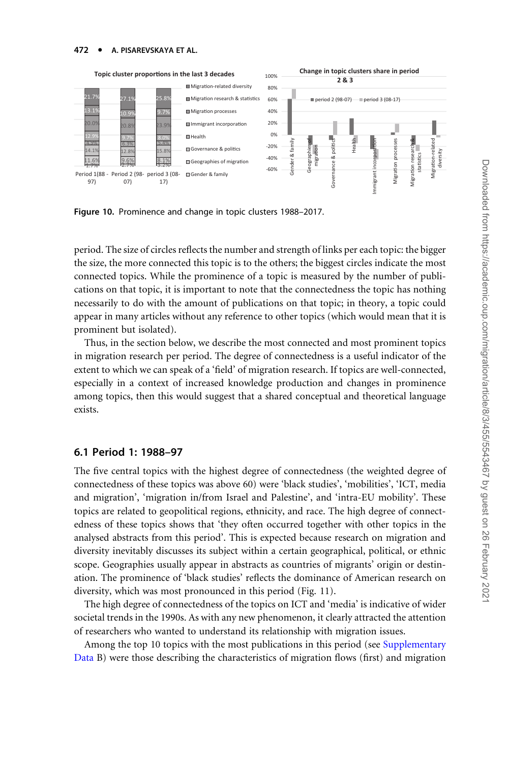#### <span id="page-17-0"></span>472 . A. PISAREVSKAYA ET AL.



Figure 10. Prominence and change in topic clusters 1988–2017.

period. The size of circles reflects the number and strength of links per each topic: the bigger the size, the more connected this topic is to the others; the biggest circles indicate the most connected topics. While the prominence of a topic is measured by the number of publications on that topic, it is important to note that the connectedness the topic has nothing necessarily to do with the amount of publications on that topic; in theory, a topic could appear in many articles without any reference to other topics (which would mean that it is prominent but isolated).

Thus, in the section below, we describe the most connected and most prominent topics in migration research per period. The degree of connectedness is a useful indicator of the extent to which we can speak of a 'field' of migration research. If topics are well-connected, especially in a context of increased knowledge production and changes in prominence among topics, then this would suggest that a shared conceptual and theoretical language exists.

#### 6.1 Period 1: 1988–97

The five central topics with the highest degree of connectedness (the weighted degree of connectedness of these topics was above 60) were 'black studies', 'mobilities', 'ICT, media and migration', 'migration in/from Israel and Palestine', and 'intra-EU mobility'. These topics are related to geopolitical regions, ethnicity, and race. The high degree of connectedness of these topics shows that 'they often occurred together with other topics in the analysed abstracts from this period'. This is expected because research on migration and diversity inevitably discusses its subject within a certain geographical, political, or ethnic scope. Geographies usually appear in abstracts as countries of migrants' origin or destination. The prominence of 'black studies' reflects the dominance of American research on diversity, which was most pronounced in this period ([Fig. 11\)](#page-18-0).

The high degree of connectedness of the topics on ICT and 'media' is indicative of wider societal trends in the 1990s. As with any new phenomenon, it clearly attracted the attention of researchers who wanted to understand its relationship with migration issues.

Among the top 10 topics with the most publications in this period (see [Supplementary](https://academic.oup.com/migration/article-lookup/doi/10.1093/migration/mnz031#supplementary-data) [Data](https://academic.oup.com/migration/article-lookup/doi/10.1093/migration/mnz031#supplementary-data) B) were those describing the characteristics of migration flows (first) and migration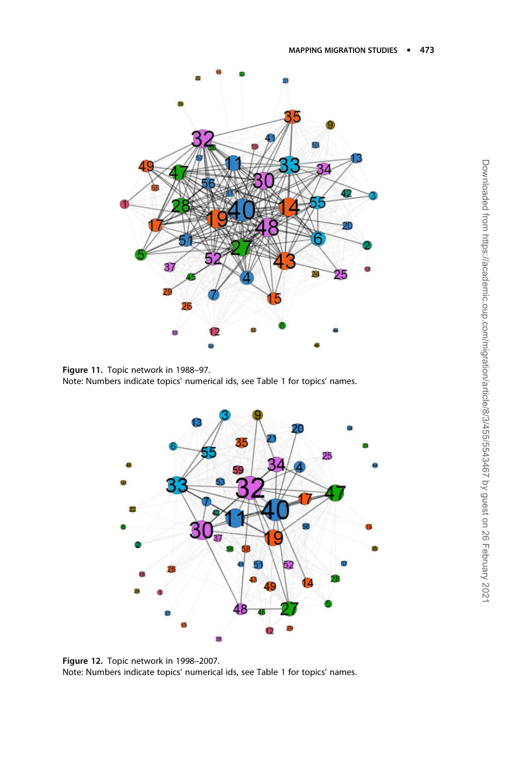<span id="page-18-0"></span>

Figure 11. Topic network in 1988–97. Note: Numbers indicate topics' numerical ids, see [Table 1](#page-13-0) for topics' names.



Figure 12. Topic network in 1998–2007. Note: Numbers indicate topics' numerical ids, see [Table 1](#page-13-0) for topics' names.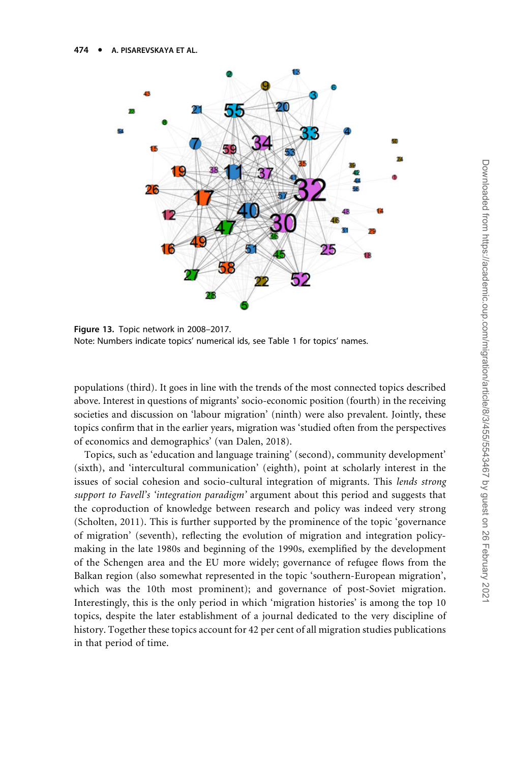<span id="page-19-0"></span>

Figure 13. Topic network in 2008–2017. Note: Numbers indicate topics' numerical ids, see [Table 1](#page-13-0) for topics' names.

populations (third). It goes in line with the trends of the most connected topics described above. Interest in questions of migrants' socio-economic position (fourth) in the receiving societies and discussion on 'labour migration' (ninth) were also prevalent. Jointly, these topics confirm that in the earlier years, migration was 'studied often from the perspectives of economics and demographics' ([van Dalen, 2018](#page-26-0)).

Topics, such as 'education and language training' (second), community development' (sixth), and 'intercultural communication' (eighth), point at scholarly interest in the issues of social cohesion and socio-cultural integration of migrants. This lends strong support to Favell's 'integration paradigm' argument about this period and suggests that the coproduction of knowledge between research and policy was indeed very strong ([Scholten, 2011\)](#page-26-0). This is further supported by the prominence of the topic 'governance of migration' (seventh), reflecting the evolution of migration and integration policymaking in the late 1980s and beginning of the 1990s, exemplified by the development of the Schengen area and the EU more widely; governance of refugee flows from the Balkan region (also somewhat represented in the topic 'southern-European migration', which was the 10th most prominent); and governance of post-Soviet migration. Interestingly, this is the only period in which 'migration histories' is among the top 10 topics, despite the later establishment of a journal dedicated to the very discipline of history. Together these topics account for 42 per cent of all migration studies publications in that period of time.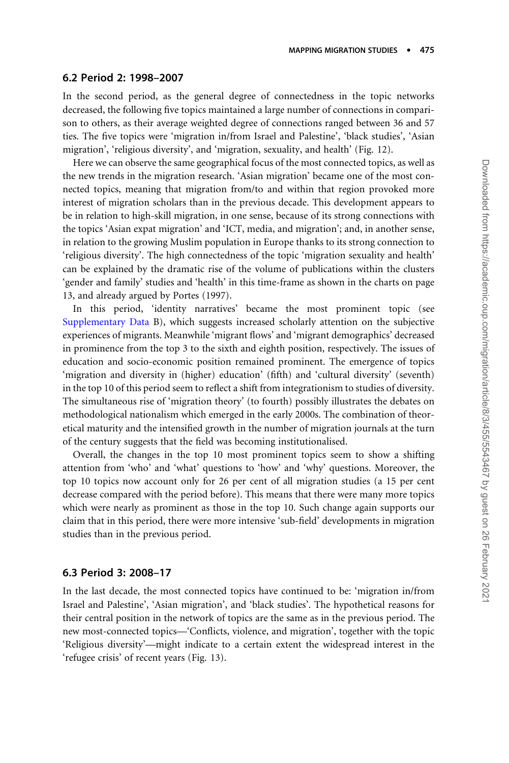#### 6.2 Period 2: 1998–2007

In the second period, as the general degree of connectedness in the topic networks decreased, the following five topics maintained a large number of connections in comparison to others, as their average weighted degree of connections ranged between 36 and 57 ties. The five topics were 'migration in/from Israel and Palestine', 'black studies', 'Asian migration', 'religious diversity', and 'migration, sexuality, and health' ([Fig. 12\)](#page-18-0).

Here we can observe the same geographical focus of the most connected topics, as well as the new trends in the migration research. 'Asian migration' became one of the most connected topics, meaning that migration from/to and within that region provoked more interest of migration scholars than in the previous decade. This development appears to be in relation to high-skill migration, in one sense, because of its strong connections with the topics 'Asian expat migration' and 'ICT, media, and migration'; and, in another sense, in relation to the growing Muslim population in Europe thanks to its strong connection to 'religious diversity'. The high connectedness of the topic 'migration sexuality and health' can be explained by the dramatic rise of the volume of publications within the clusters 'gender and family' studies and 'health' in this time-frame as shown in the charts on page 13, and already argued by [Portes \(1997\).](#page-26-0)

In this period, 'identity narratives' became the most prominent topic (see [Supplementary Data](https://academic.oup.com/migration/article-lookup/doi/10.1093/migration/mnz031#supplementary-data) B), which suggests increased scholarly attention on the subjective experiences of migrants. Meanwhile 'migrant flows' and 'migrant demographics' decreased in prominence from the top 3 to the sixth and eighth position, respectively. The issues of education and socio-economic position remained prominent. The emergence of topics 'migration and diversity in (higher) education' (fifth) and 'cultural diversity' (seventh) in the top 10 of this period seem to reflect a shift from integrationism to studies of diversity. The simultaneous rise of 'migration theory' (to fourth) possibly illustrates the debates on methodological nationalism which emerged in the early 2000s. The combination of theoretical maturity and the intensified growth in the number of migration journals at the turn of the century suggests that the field was becoming institutionalised.

Overall, the changes in the top 10 most prominent topics seem to show a shifting attention from 'who' and 'what' questions to 'how' and 'why' questions. Moreover, the top 10 topics now account only for 26 per cent of all migration studies (a 15 per cent decrease compared with the period before). This means that there were many more topics which were nearly as prominent as those in the top 10. Such change again supports our claim that in this period, there were more intensive 'sub-field' developments in migration studies than in the previous period.

#### 6.3 Period 3: 2008–17

In the last decade, the most connected topics have continued to be: 'migration in/from Israel and Palestine', 'Asian migration', and 'black studies'. The hypothetical reasons for their central position in the network of topics are the same as in the previous period. The new most-connected topics—'Conflicts, violence, and migration', together with the topic 'Religious diversity'—might indicate to a certain extent the widespread interest in the 'refugee crisis' of recent years ([Fig. 13](#page-19-0)).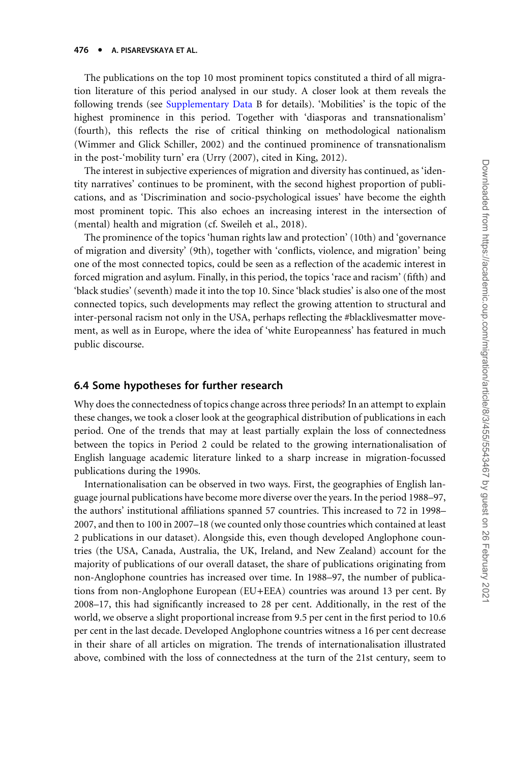The publications on the top 10 most prominent topics constituted a third of all migration literature of this period analysed in our study. A closer look at them reveals the following trends (see [Supplementary Data](https://academic.oup.com/migration/article-lookup/doi/10.1093/migration/mnz031#supplementary-data) B for details). 'Mobilities' is the topic of the highest prominence in this period. Together with 'diasporas and transnationalism' (fourth), this reflects the rise of critical thinking on methodological nationalism ([Wimmer and Glick Schiller, 2002](#page-26-0)) and the continued prominence of transnationalism in the post-'mobility turn' era [\(Urry \(2007\),](#page-26-0) cited in [King, 2012](#page-25-0)).

The interest in subjective experiences of migration and diversity has continued, as 'identity narratives' continues to be prominent, with the second highest proportion of publications, and as 'Discrimination and socio-psychological issues' have become the eighth most prominent topic. This also echoes an increasing interest in the intersection of (mental) health and migration (cf. [Sweileh et al., 2018\)](#page-26-0).

The prominence of the topics 'human rights law and protection' (10th) and 'governance of migration and diversity' (9th), together with 'conflicts, violence, and migration' being one of the most connected topics, could be seen as a reflection of the academic interest in forced migration and asylum. Finally, in this period, the topics 'race and racism' (fifth) and 'black studies' (seventh) made it into the top 10. Since 'black studies' is also one of the most connected topics, such developments may reflect the growing attention to structural and inter-personal racism not only in the USA, perhaps reflecting the #blacklivesmatter movement, as well as in Europe, where the idea of 'white Europeanness' has featured in much public discourse.

#### 6.4 Some hypotheses for further research

Why does the connectedness of topics change across three periods? In an attempt to explain these changes, we took a closer look at the geographical distribution of publications in each period. One of the trends that may at least partially explain the loss of connectedness between the topics in Period 2 could be related to the growing internationalisation of English language academic literature linked to a sharp increase in migration-focussed publications during the 1990s.

Internationalisation can be observed in two ways. First, the geographies of English language journal publications have become more diverse over the years. In the period 1988–97, the authors' institutional affiliations spanned 57 countries. This increased to 72 in 1998– 2007, and then to 100 in 2007–18 (we counted only those countries which contained at least 2 publications in our dataset). Alongside this, even though developed Anglophone countries (the USA, Canada, Australia, the UK, Ireland, and New Zealand) account for the majority of publications of our overall dataset, the share of publications originating from non-Anglophone countries has increased over time. In 1988–97, the number of publications from non-Anglophone European (EU+EEA) countries was around 13 per cent. By 2008–17, this had significantly increased to 28 per cent. Additionally, in the rest of the world, we observe a slight proportional increase from 9.5 per cent in the first period to 10.6 per cent in the last decade. Developed Anglophone countries witness a 16 per cent decrease in their share of all articles on migration. The trends of internationalisation illustrated above, combined with the loss of connectedness at the turn of the 21st century, seem to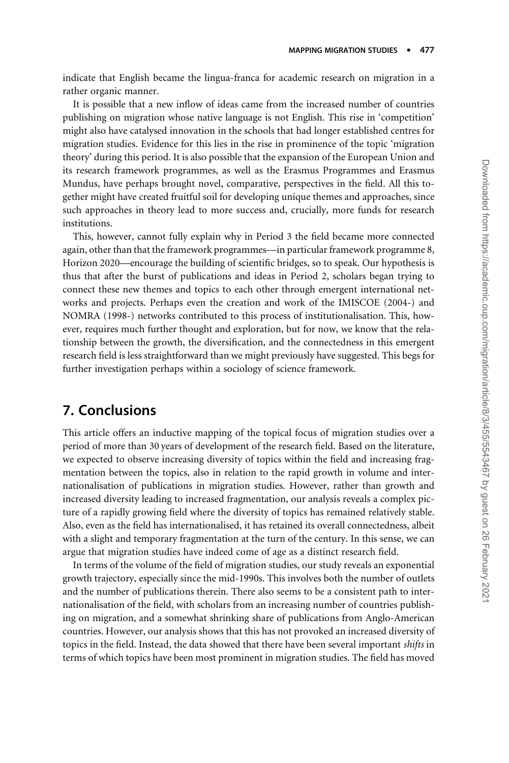indicate that English became the lingua-franca for academic research on migration in a rather organic manner.

It is possible that a new inflow of ideas came from the increased number of countries publishing on migration whose native language is not English. This rise in 'competition' might also have catalysed innovation in the schools that had longer established centres for migration studies. Evidence for this lies in the rise in prominence of the topic 'migration theory' during this period. It is also possible that the expansion of the European Union and its research framework programmes, as well as the Erasmus Programmes and Erasmus Mundus, have perhaps brought novel, comparative, perspectives in the field. All this together might have created fruitful soil for developing unique themes and approaches, since such approaches in theory lead to more success and, crucially, more funds for research institutions.

This, however, cannot fully explain why in Period 3 the field became more connected again, other than that the framework programmes—in particular framework programme 8, Horizon 2020—encourage the building of scientific bridges, so to speak. Our hypothesis is thus that after the burst of publications and ideas in Period 2, scholars began trying to connect these new themes and topics to each other through emergent international networks and projects. Perhaps even the creation and work of the IMISCOE (2004-) and NOMRA (1998-) networks contributed to this process of institutionalisation. This, however, requires much further thought and exploration, but for now, we know that the relationship between the growth, the diversification, and the connectedness in this emergent research field is less straightforward than we might previously have suggested. This begs for further investigation perhaps within a sociology of science framework.

### 7. Conclusions

This article offers an inductive mapping of the topical focus of migration studies over a period of more than 30 years of development of the research field. Based on the literature, we expected to observe increasing diversity of topics within the field and increasing fragmentation between the topics, also in relation to the rapid growth in volume and internationalisation of publications in migration studies. However, rather than growth and increased diversity leading to increased fragmentation, our analysis reveals a complex picture of a rapidly growing field where the diversity of topics has remained relatively stable. Also, even as the field has internationalised, it has retained its overall connectedness, albeit with a slight and temporary fragmentation at the turn of the century. In this sense, we can argue that migration studies have indeed come of age as a distinct research field.

In terms of the volume of the field of migration studies, our study reveals an exponential growth trajectory, especially since the mid-1990s. This involves both the number of outlets and the number of publications therein. There also seems to be a consistent path to internationalisation of the field, with scholars from an increasing number of countries publishing on migration, and a somewhat shrinking share of publications from Anglo-American countries. However, our analysis shows that this has not provoked an increased diversity of topics in the field. Instead, the data showed that there have been several important *shifts* in terms of which topics have been most prominent in migration studies. The field has moved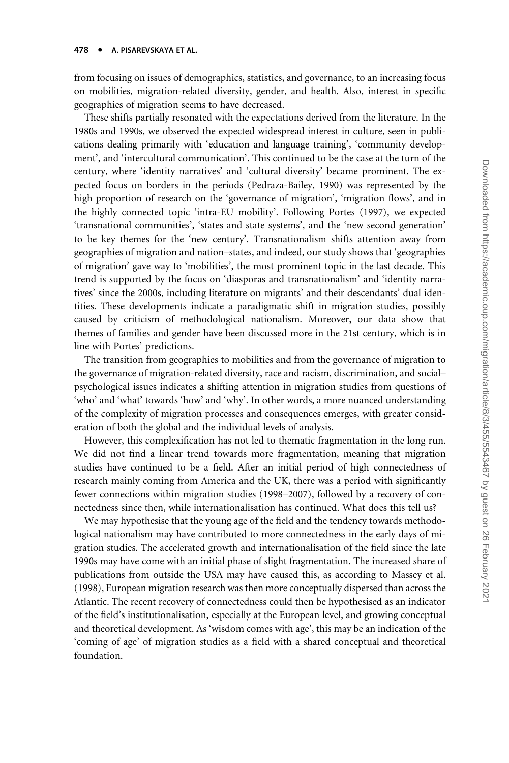from focusing on issues of demographics, statistics, and governance, to an increasing focus on mobilities, migration-related diversity, gender, and health. Also, interest in specific geographies of migration seems to have decreased.

These shifts partially resonated with the expectations derived from the literature. In the 1980s and 1990s, we observed the expected widespread interest in culture, seen in publications dealing primarily with 'education and language training', 'community development', and 'intercultural communication'. This continued to be the case at the turn of the century, where 'identity narratives' and 'cultural diversity' became prominent. The expected focus on borders in the periods ([Pedraza-Bailey, 1990\)](#page-25-0) was represented by the high proportion of research on the 'governance of migration', 'migration flows', and in the highly connected topic 'intra-EU mobility'. Following [Portes \(1997\)](#page-26-0), we expected 'transnational communities', 'states and state systems', and the 'new second generation' to be key themes for the 'new century'. Transnationalism shifts attention away from geographies of migration and nation–states, and indeed, our study shows that 'geographies of migration' gave way to 'mobilities', the most prominent topic in the last decade. This trend is supported by the focus on 'diasporas and transnationalism' and 'identity narratives' since the 2000s, including literature on migrants' and their descendants' dual identities. These developments indicate a paradigmatic shift in migration studies, possibly caused by criticism of methodological nationalism. Moreover, our data show that themes of families and gender have been discussed more in the 21st century, which is in line with Portes' predictions.

The transition from geographies to mobilities and from the governance of migration to the governance of migration-related diversity, race and racism, discrimination, and social– psychological issues indicates a shifting attention in migration studies from questions of 'who' and 'what' towards 'how' and 'why'. In other words, a more nuanced understanding of the complexity of migration processes and consequences emerges, with greater consideration of both the global and the individual levels of analysis.

However, this complexification has not led to thematic fragmentation in the long run. We did not find a linear trend towards more fragmentation, meaning that migration studies have continued to be a field. After an initial period of high connectedness of research mainly coming from America and the UK, there was a period with significantly fewer connections within migration studies (1998–2007), followed by a recovery of connectedness since then, while internationalisation has continued. What does this tell us?

We may hypothesise that the young age of the field and the tendency towards methodological nationalism may have contributed to more connectedness in the early days of migration studies. The accelerated growth and internationalisation of the field since the late 1990s may have come with an initial phase of slight fragmentation. The increased share of publications from outside the USA may have caused this, as according to [Massey et al.](#page-25-0) [\(1998\)](#page-25-0), European migration research was then more conceptually dispersed than across the Atlantic. The recent recovery of connectedness could then be hypothesised as an indicator of the field's institutionalisation, especially at the European level, and growing conceptual and theoretical development. As 'wisdom comes with age', this may be an indication of the 'coming of age' of migration studies as a field with a shared conceptual and theoretical foundation.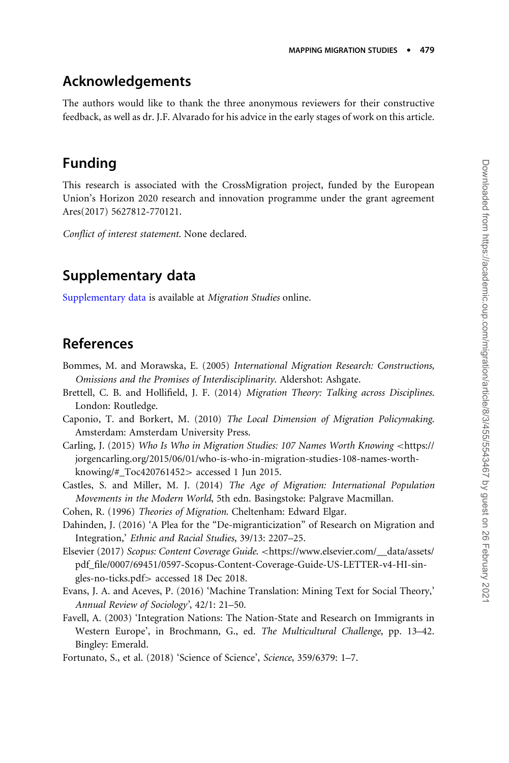### <span id="page-24-0"></span>Acknowledgements

The authors would like to thank the three anonymous reviewers for their constructive feedback, as well as dr. J.F. Alvarado for his advice in the early stages of work on this article.

# Funding

This research is associated with the CrossMigration project, funded by the European Union's Horizon 2020 research and innovation programme under the grant agreement Ares(2017) 5627812-770121.

Conflict of interest statement. None declared.

# Supplementary data

[Supplementary data](https://academic.oup.com/migration/article-lookup/doi/10.1093/migration/mnz031#supplementary-data) is available at Migration Studies online.

#### References

- Bommes, M. and Morawska, E. (2005) International Migration Research: Constructions, Omissions and the Promises of Interdisciplinarity. Aldershot: Ashgate.
- Brettell, C. B. and Hollifield, J. F. (2014) Migration Theory: Talking across Disciplines. London: Routledge.
- Caponio, T. and Borkert, M. (2010) The Local Dimension of Migration Policymaking. Amsterdam: Amsterdam University Press.
- Carling, J. (2015) Who Is Who in Migration Studies: 107 Names Worth Knowing <[https://](https://jorgencarling.org/2015/06/01/who-is-who-in-migration-studies-108-names-worth-knowing/#_Toc420761452) [jorgencarling.org/2015/06/01/who-is-who-in-migration-studies-108-names-worth](https://jorgencarling.org/2015/06/01/who-is-who-in-migration-studies-108-names-worth-knowing/#_Toc420761452)[knowing/#\\_Toc420761452](https://jorgencarling.org/2015/06/01/who-is-who-in-migration-studies-108-names-worth-knowing/#_Toc420761452)> accessed 1 Jun 2015.
- Castles, S. and Miller, M. J. (2014) The Age of Migration: International Population Movements in the Modern World, 5th edn. Basingstoke: Palgrave Macmillan.
- Cohen, R. (1996) Theories of Migration. Cheltenham: Edward Elgar.
- Dahinden, J. (2016) 'A Plea for the "De-migranticization" of Research on Migration and Integration,' Ethnic and Racial Studies, 39/13: 2207–25.
- Elsevier (2017) Scopus: Content Coverage Guide. <https://www.elsevier.com/\_data/assets/ [pdf\\_file/0007/69451/0597-Scopus-Content-Coverage-Guide-US-LETTER-v4-HI-sin](https://www.elsevier.com/__data/assets/pdf_file/0007/69451/0597-Scopus-Content-Coverage-Guide-US-LETTER-v4-HI-singles-no-ticks.pdf)[gles-no-ticks.pdf](https://www.elsevier.com/__data/assets/pdf_file/0007/69451/0597-Scopus-Content-Coverage-Guide-US-LETTER-v4-HI-singles-no-ticks.pdf)> accessed 18 Dec 2018.
- Evans, J. A. and Aceves, P. (2016) 'Machine Translation: Mining Text for Social Theory,' Annual Review of Sociology', 42/1: 21–50.
- Favell, A. (2003) 'Integration Nations: The Nation-State and Research on Immigrants in Western Europe', in Brochmann, G., ed. The Multicultural Challenge, pp. 13–42. Bingley: Emerald.
- Fortunato, S., et al. (2018) 'Science of Science', Science, 359/6379: 1–7.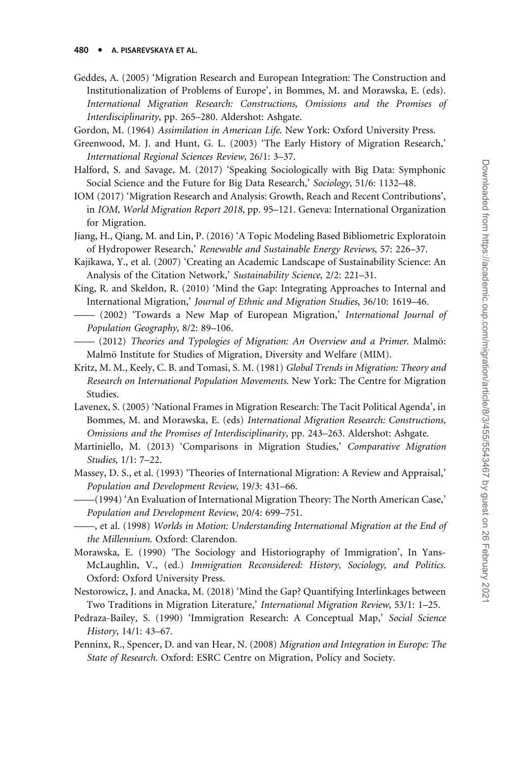- <span id="page-25-0"></span>Geddes, A. (2005) 'Migration Research and European Integration: The Construction and Institutionalization of Problems of Europe', in Bommes, M. and Morawska, E. (eds). International Migration Research: Constructions, Omissions and the Promises of Interdisciplinarity, pp. 265–280. Aldershot: Ashgate.
- Gordon, M. (1964) Assimilation in American Life. New York: Oxford University Press.
- Greenwood, M. J. and Hunt, G. L. (2003) 'The Early History of Migration Research,' International Regional Sciences Review, 26/1: 3–37.
- Halford, S. and Savage, M. (2017) 'Speaking Sociologically with Big Data: Symphonic Social Science and the Future for Big Data Research,' Sociology, 51/6: 1132–48.
- IOM (2017) 'Migration Research and Analysis: Growth, Reach and Recent Contributions', in IOM, World Migration Report 2018, pp. 95–121. Geneva: International Organization for Migration.
- Jiang, H., Qiang, M. and Lin, P. (2016) 'A Topic Modeling Based Bibliometric Exploratoin of Hydropower Research,' Renewable and Sustainable Energy Reviews, 57: 226–37.
- Kajikawa, Y., et al. (2007) 'Creating an Academic Landscape of Sustainability Science: An Analysis of the Citation Network,' Sustainability Science, 2/2: 221–31.
- King, R. and Skeldon, R. (2010) 'Mind the Gap: Integrating Approaches to Internal and International Migration,' Journal of Ethnic and Migration Studies, 36/10: 1619–46.
- —— (2002) 'Towards a New Map of European Migration,' International Journal of Population Geography, 8/2: 89–106.
- (2012) Theories and Typologies of Migration: An Overview and a Primer. Malmö: Malmö Institute for Studies of Migration, Diversity and Welfare (MIM).
- Kritz, M. M., Keely, C. B. and Tomasi, S. M. (1981) Global Trends in Migration: Theory and Research on International Population Movements. New York: The Centre for Migration Studies.
- Lavenex, S. (2005) 'National Frames in Migration Research: The Tacit Political Agenda', in Bommes, M. and Morawska, E. (eds) International Migration Research: Constructions, Omissions and the Promises of Interdisciplinarity, pp. 243–263. Aldershot: Ashgate.
- Martiniello, M. (2013) 'Comparisons in Migration Studies,' Comparative Migration Studies, 1/1: 7–22.
- Massey, D. S., et al. (1993) 'Theories of International Migration: A Review and Appraisal,' Population and Development Review, 19/3: 431–66.
- ——(1994) 'An Evaluation of International Migration Theory: The North American Case,' Population and Development Review, 20/4: 699–751.
- ——, et al. (1998) Worlds in Motion: Understanding International Migration at the End of the Millennium. Oxford: Clarendon.
- Morawska, E. (1990) 'The Sociology and Historiography of Immigration', In Yans-McLaughlin, V., (ed.) Immigration Reconsidered: History, Sociology, and Politics. Oxford: Oxford University Press.
- Nestorowicz, J. and Anacka, M. (2018) 'Mind the Gap? Quantifying Interlinkages between Two Traditions in Migration Literature,' International Migration Review, 53/1: 1–25.
- Pedraza-Bailey, S. (1990) 'Immigration Research: A Conceptual Map,' Social Science History, 14/1: 43–67.
- Penninx, R., Spencer, D. and van Hear, N. (2008) Migration and Integration in Europe: The State of Research. Oxford: ESRC Centre on Migration, Policy and Society.